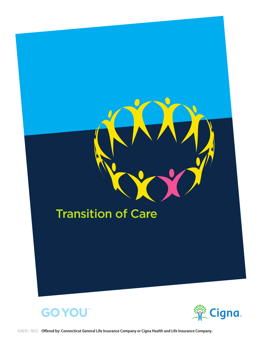

**GO YOU** 

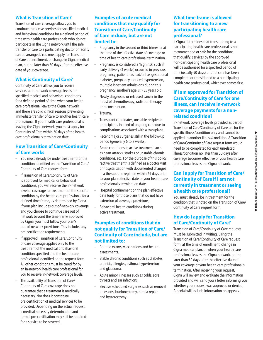#### **What is Transition of Care?**

Transition of care coverage allows you to continue to receive services for specified medical and behavioral conditions for a defined period of time with health care professionals who do not participate in the Cigna network until the safe transfer of care to a participating doctor or facility can be arranged**.** You must apply for Transition of Care at enrollment, or change in Cigna medical plan, but no later than 30 days after the effective date of your coverage.

#### **What is Continuity of Care?**

Continuity of Care allows you to receive services at in-network coverage levels for specified medical and behavioral conditions for a defined period of time when your health care professional leaves the Cigna network and there are solid clinical reasons preventing immediate transfer of care to another health care professional. If your health care professional is leaving the Cigna network, you must apply for Continuity of Care within 30 days of the health care professional's termination date.

#### **How Transition of Care/Continuity of Care works**

- • You must already be under treatment for the condition identified on the Transition of Care/ Continuity of Care request form.
- • If Transition of Care/Continuity of Care is approved for medical or behavioral conditions, you will receive the in-network level of coverage for treatment of the specific condition by the health care professional for a defined time frame, as determined by Cigna. If your plan includes out-of-network coverage and you choose to continue care out of network beyond the time frame approved by Cigna, you must follow your plan's out-of-network provisions. This includes any pre-certification requirements.
- • If approved, Transition of Care/Continuity of Care coverage applies only to the treatment of the medical or behavioral condition specified and the health care professional identified on the request form. All other conditions must be cared for by an in-network health care professional for you to receive in-network coverage levels.
- The availability of Transition of Care/ Continuity of Care coverage does not guarantee that a treatment is medically necessary. Nor does it constitute pre-certification of medical services to be provided. Depending on the actual request, a medical necessity determination and formal pre-certification may still be required for a service to be covered.

# **Examples of acute medical conditions that may qualify for Transition of Care/Continuity of Care include, but are not limited to:**

- • Pregnancy in the second or third trimester at the time of the effective date of coverage or time of health care professional termination.
- Pregnancy is considered a 'high risk' such if early delivery (3 weeks) occurred in previous pregnancy, patient has had/or has gestational diabetes, pregnancy induced hypertension, multiple inpatient admissions during this pregnancy, mother's age is > 35 years old.
- Newly diagnosed or relapsed cancer in the midst of chemotherapy, radiation therapy or reconstruction.
- Trauma.
- Transplant candidates, unstable recipients or recipients in need of ongoing care due to complications associated with a transplant.
- • Recent major surgeries still in the follow-up period (generally 6 to 8 weeks).
- Acute conditions in active treatment such as heart attacks, strokes or unstable chronic conditions, etc. For the purpose of this policy, "active treatment" is defined as a doctor visit or hospitalization with documented changes in a therapeutic regimen within 21 days prior to your plan effective date or your health care professional's termination date.
- Hospital confinement on the plan effective date (only for those plans that do not have extension of coverage provisions).
- • Behavioral health conditions during active treatment.

# **Examples of conditions that do not qualify for Transition of Care/ Continuity of Care include, but are not limited to:**

- • Routine exams, vaccinations and health assessments.
- Stable chronic conditions such as diabetes, arthritis, allergies, asthma, hypertension and glaucoma.
- • Acute minor illnesses such as colds, sore throats and ear infections.
- • Elective scheduled surgeries such as removal of lesions, bunionectomy, hernia repair and hysterectomy.

#### **What time frame is allowed for transitioning to a new participating health care professional?**

If Cigna determines that transitioning to a participating health care professional is not recommended or safe for the conditions that qualify, services by the approved non-participating health care professional will be authorized for a specified period of time (usually 90 days) or until care has been completed or transitioned to a participating health care professional, whichever comes first.

# **If I am approved for Transition of Care/Continuity of Care for one illness, can I receive in-network coverage payments for a nonrelated condition?**

In-network coverage levels provided as part of Transition of Care/Continuity of Care are for the specific illness/condition only and cannot be applied to another illness/condition. A Transition of Care/Continuity of Care request form would need to be completed for each unrelated illness/condition no later than 30 days after coverage becomes effective or your health care professional leaves the Cigna network.

# **Can I apply for Transition of Care/ Continuity of Care if I am not currently in treatment or seeing a health care professional?**

You must already be in treatment for the condition that is noted on the Transition of Care/ Continuity of Care request form.

### **How do I apply for Transition of Care/Continuity of Care?**

Transition of Care/Continuity of Care requests must be submitted in writing, using the Transition of Care/Continuity of Care request form, at the time of enrollment, change in Cigna medical plan, or when your health care professional leaves the Cigna network, but no later than 30 days after the effective date of your coverage or your health care professional's termination. After receiving your request, Cigna will review and evaluate the information provided and will send you a letter informing you whether your request was approved or denied. A denial will include information on appeals.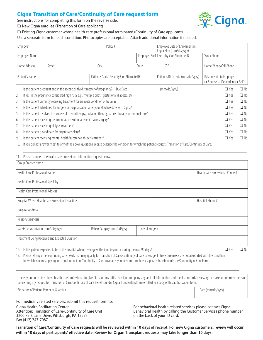# **Cigna Transition of Care/Continuity of Care request form**

See instructions for completing this form on the reverse side.



 $\Box$  New Cigna enrollee (Transition of Care applicant)

 $\Box$  Existing Cigna customer whose health care professional terminated (Continuity of Care applicant)

Use a separate form for each condition. Photocopies are acceptable. Attach additional information if needed.

| Employer                                                                                                       |                                                                                                  |                                             | Policy#      |                                            | Employee Date of Enrollment in<br>Cigna Plan (mm/dd/yyyy)                                                   |                       |              |
|----------------------------------------------------------------------------------------------------------------|--------------------------------------------------------------------------------------------------|---------------------------------------------|--------------|--------------------------------------------|-------------------------------------------------------------------------------------------------------------|-----------------------|--------------|
| Employee Name                                                                                                  |                                                                                                  |                                             |              | Employee Social Security # or Alternate ID |                                                                                                             | Work Phone            |              |
| Home Address<br>Street                                                                                         |                                                                                                  | City                                        | State        |                                            | 7IP                                                                                                         | Home Phone/Cell Phone |              |
| Patient's Name                                                                                                 |                                                                                                  | Patient's Social Security # or Alternate ID |              |                                            | Patient's Birth Date (mm/dd/yyyy)<br>Relationship to Employee<br>$\Box$ Spouse $\Box$ Dependent $\Box$ Self |                       |              |
|                                                                                                                | Is the patient pregnant and in the second or third trimester of pregnancy? Due Date _____        |                                             |              |                                            | (mm/dd/yyyy)                                                                                                | $\Box$ Yes            | $\square$ No |
| 2.                                                                                                             | If yes, is the pregnancy considered high risk? e.g., multiple births, gestational diabetes, etc. | $\Box$ Yes                                  | $\square$ No |                                            |                                                                                                             |                       |              |
| 3.                                                                                                             | Is the patient currently receiving treatment for an acute condition or trauma?                   | $\Box$ Yes                                  | $\square$ No |                                            |                                                                                                             |                       |              |
| 4.                                                                                                             | Is the patient scheduled for surgery or hospitalization after your effective date with Cigna?    |                                             |              |                                            |                                                                                                             |                       | $\Box$ No    |
| Is the patient involved in a course of chemotherapy, radiation therapy, cancer therapy or terminal care?<br>5. |                                                                                                  |                                             |              |                                            |                                                                                                             |                       | $\square$ No |
| 6.                                                                                                             | Is the patient receiving treatment as a result of a recent major surgery?                        | $\Box$ Yes                                  | $\square$ No |                                            |                                                                                                             |                       |              |
|                                                                                                                | Is the patient receiving dialysis treatment?                                                     |                                             |              |                                            |                                                                                                             | $\Box$ Yes            | $\square$ No |
| 8.                                                                                                             | Is the patient a candidate for organ transplant?                                                 |                                             | $\Box$ Yes   | $\Box$ No                                  |                                                                                                             |                       |              |
| 9.                                                                                                             | Is the patient receiving mental health/substance abuse treatment?                                |                                             |              |                                            |                                                                                                             | $\Box$ Yes            | $\square$ No |
|                                                                                                                |                                                                                                  |                                             |              |                                            |                                                                                                             |                       |              |

10. If you did not answer "Yes" to any of the above questions, please describe the condition for which the patient requests Transition of Care/Continuity of Care.

| Please complete the health care professional information request below.<br>11.                                                                                                                                                                                                                                                                                                                                                                                                                                          |                                                                                                                                                                                                                                                                                                                                                                                                                                                              |                 |                                         |  |  |  |  |  |  |
|-------------------------------------------------------------------------------------------------------------------------------------------------------------------------------------------------------------------------------------------------------------------------------------------------------------------------------------------------------------------------------------------------------------------------------------------------------------------------------------------------------------------------|--------------------------------------------------------------------------------------------------------------------------------------------------------------------------------------------------------------------------------------------------------------------------------------------------------------------------------------------------------------------------------------------------------------------------------------------------------------|-----------------|-----------------------------------------|--|--|--|--|--|--|
| Group Practice Name                                                                                                                                                                                                                                                                                                                                                                                                                                                                                                     |                                                                                                                                                                                                                                                                                                                                                                                                                                                              |                 |                                         |  |  |  |  |  |  |
| Health Care Professional Name                                                                                                                                                                                                                                                                                                                                                                                                                                                                                           | Health Care Professional Phone #                                                                                                                                                                                                                                                                                                                                                                                                                             |                 |                                         |  |  |  |  |  |  |
| Health Care Professional Specialty                                                                                                                                                                                                                                                                                                                                                                                                                                                                                      |                                                                                                                                                                                                                                                                                                                                                                                                                                                              |                 |                                         |  |  |  |  |  |  |
| Health Care Professional Address                                                                                                                                                                                                                                                                                                                                                                                                                                                                                        |                                                                                                                                                                                                                                                                                                                                                                                                                                                              |                 |                                         |  |  |  |  |  |  |
| Hospital Where Health Care Professional Practices                                                                                                                                                                                                                                                                                                                                                                                                                                                                       | Hospital Phone #                                                                                                                                                                                                                                                                                                                                                                                                                                             |                 |                                         |  |  |  |  |  |  |
| Hospital Address                                                                                                                                                                                                                                                                                                                                                                                                                                                                                                        |                                                                                                                                                                                                                                                                                                                                                                                                                                                              |                 |                                         |  |  |  |  |  |  |
| Reason/Diagnosis                                                                                                                                                                                                                                                                                                                                                                                                                                                                                                        |                                                                                                                                                                                                                                                                                                                                                                                                                                                              |                 |                                         |  |  |  |  |  |  |
| Date(s) of Admission (mm/dd/yyyy)                                                                                                                                                                                                                                                                                                                                                                                                                                                                                       | Date of Surgery (mm/dd/yyyy)                                                                                                                                                                                                                                                                                                                                                                                                                                 | Type of Surgery |                                         |  |  |  |  |  |  |
| Treatment Being Received and Expected Duration                                                                                                                                                                                                                                                                                                                                                                                                                                                                          |                                                                                                                                                                                                                                                                                                                                                                                                                                                              |                 |                                         |  |  |  |  |  |  |
| $\mathcal{A} \bullet \mathcal{A} = \mathcal{A} \bullet \mathcal{A} = \mathcal{A} \bullet \mathcal{A} = \mathcal{A} \bullet \mathcal{A} = \mathcal{A} \bullet \mathcal{A} = \mathcal{A} \bullet \mathcal{A} = \mathcal{A} \bullet \mathcal{A} = \mathcal{A} \bullet \mathcal{A} = \mathcal{A} \bullet \mathcal{A} = \mathcal{A} \bullet \mathcal{A} = \mathcal{A} \bullet \mathcal{A} = \mathcal{A} \bullet \mathcal{A} = \mathcal{A} \bullet \mathcal{A} = \mathcal{A} \bullet \mathcal{A} = \mathcal{A} \bullet \math$ | $\mathcal{L} = \mathcal{L} = \mathcal{L} = \mathcal{L} = \mathcal{L} = \mathcal{L} = \mathcal{L} = \mathcal{L} = \mathcal{L} = \mathcal{L} = \mathcal{L} = \mathcal{L} = \mathcal{L} = \mathcal{L} = \mathcal{L} = \mathcal{L} = \mathcal{L} = \mathcal{L} = \mathcal{L} = \mathcal{L} = \mathcal{L} = \mathcal{L} = \mathcal{L} = \mathcal{L} = \mathcal{L} = \mathcal{L} = \mathcal{L} = \mathcal{L} = \mathcal{L} = \mathcal{L} = \mathcal{L} = \mathcal$ |                 | $\Box \cup$<br>$\overline{\phantom{a}}$ |  |  |  |  |  |  |

\_\_\_\_\_\_\_\_\_\_\_\_\_\_\_\_\_\_\_\_\_\_\_\_\_\_\_\_\_\_\_\_\_\_\_\_\_\_\_\_\_\_\_\_\_\_\_\_\_\_\_\_\_\_\_\_\_\_\_\_\_\_\_\_\_\_\_\_\_\_\_\_\_\_\_\_\_\_\_\_\_\_\_\_\_\_\_\_\_\_\_\_\_\_\_\_\_\_\_\_\_\_\_\_

12. Is this patient expected to be in the hospital when coverage with Cigna begins or during the next 90 days?  $\square$  Yes  $\square$  No

13. Please list any other continuing care needs that may qualify for Transition of Care/Continuity of Care coverage. If these care needs are not associated with the condition for which you are applying for Transition of Care/Continuity of Care coverage, you need to complete a separate Transition of Care/Continuity of Care Form.

I hereby authorize the above health care professional to give Cigna or any affiliated Cigna company any and all information and medical records necessary to make an informed decision concerning my request for Transition of Care/Continuity of Care Benefits under Cigna. I understand I am entitled to a copy of this authorization form.

\_\_\_\_\_\_\_\_\_\_\_\_\_\_\_\_\_\_\_\_\_\_\_\_\_\_\_\_\_\_\_\_\_\_\_\_\_\_\_\_\_\_\_\_\_\_\_\_\_\_\_\_\_\_\_\_\_\_\_\_\_\_\_\_\_\_\_\_\_\_\_\_\_\_\_\_\_\_\_\_\_\_\_\_\_\_\_\_\_\_\_\_\_\_\_\_\_\_\_\_\_\_\_\_

Signature of Patient, Parent or Guardian decrees and the comparison of Date (mm/dd/yyyyy) Date (mm/dd/yyyyy)

Fax (412) 747-7087

For medically related services, submit this request form to: Cigna Health Facilitation Center Attention: Transition of Care/Continuity of Care Unit 3200 Park Lane Drive, Pittsburgh, PA 15275

For behavioral health related services please contact Cigna Behavioral Health by calling the Customer Services phone number on the back of your ID card.

**Transition of Care/Continuity of Care requests will be reviewed within 10 days of receipt. For new Cigna customers, review will occur within 10 days of participants' effective date. Review for Organ Transplant requests may take longer than 10 days.**